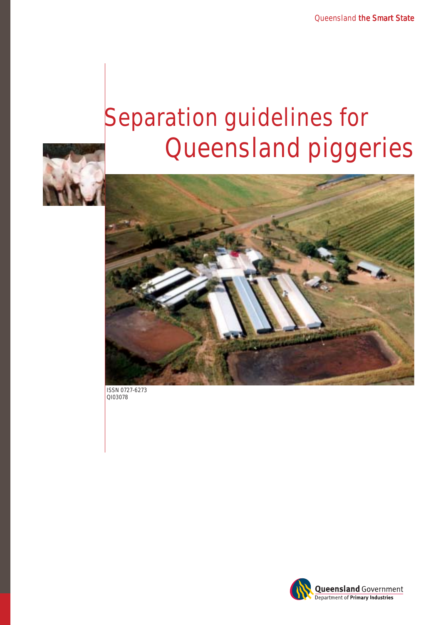# **Separation guidelines for Queensland piggeries**





**ISSN 0727-6273 QI03078**

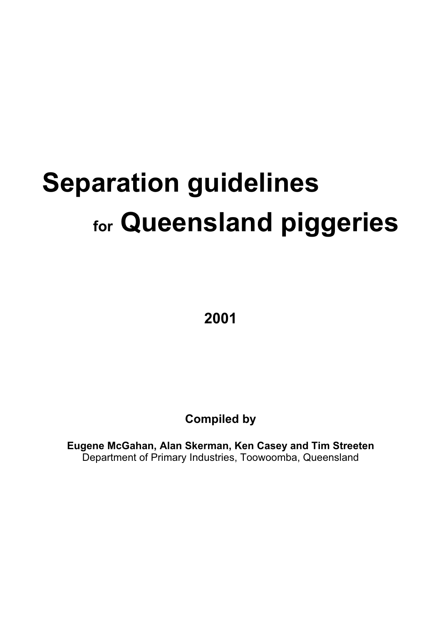# **Separation guidelines for Queensland piggeries**

**2001**

**Compiled by** 

**Eugene McGahan, Alan Skerman, Ken Casey and Tim Streeten**  Department of Primary Industries, Toowoomba, Queensland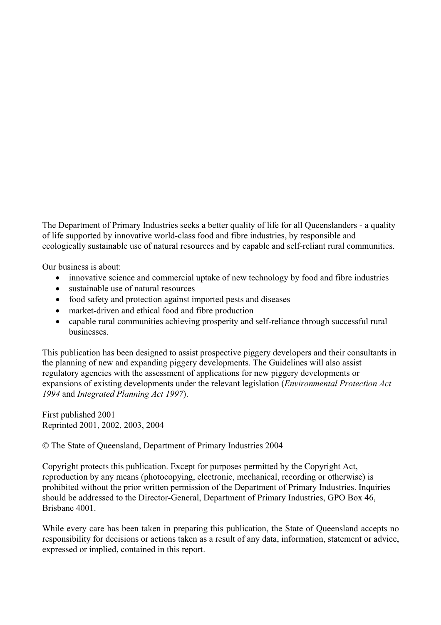The Department of Primary Industries seeks a better quality of life for all Queenslanders - a quality of life supported by innovative world-class food and fibre industries, by responsible and ecologically sustainable use of natural resources and by capable and self-reliant rural communities.

Our business is about:

- innovative science and commercial uptake of new technology by food and fibre industries
- sustainable use of natural resources
- food safety and protection against imported pests and diseases
- market-driven and ethical food and fibre production
- capable rural communities achieving prosperity and self-reliance through successful rural businesses.

This publication has been designed to assist prospective piggery developers and their consultants in the planning of new and expanding piggery developments. The Guidelines will also assist regulatory agencies with the assessment of applications for new piggery developments or expansions of existing developments under the relevant legislation (*Environmental Protection Act 1994* and *Integrated Planning Act 1997*).

First published 2001 Reprinted 2001, 2002, 2003, 2004

© The State of Queensland, Department of Primary Industries 2004

Copyright protects this publication. Except for purposes permitted by the Copyright Act, reproduction by any means (photocopying, electronic, mechanical, recording or otherwise) is prohibited without the prior written permission of the Department of Primary Industries. Inquiries should be addressed to the Director-General, Department of Primary Industries, GPO Box 46, Brisbane 4001.

While every care has been taken in preparing this publication, the State of Queensland accepts no responsibility for decisions or actions taken as a result of any data, information, statement or advice, expressed or implied, contained in this report.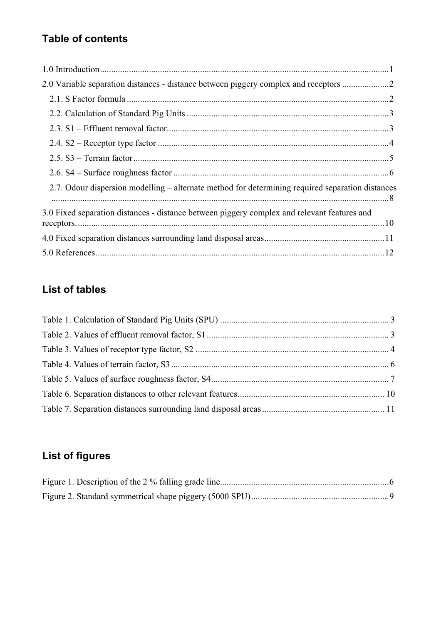# **Table of contents**

| 2.0 Variable separation distances - distance between piggery complex and receptors               |  |
|--------------------------------------------------------------------------------------------------|--|
|                                                                                                  |  |
|                                                                                                  |  |
|                                                                                                  |  |
|                                                                                                  |  |
|                                                                                                  |  |
|                                                                                                  |  |
| 2.7. Odour dispersion modelling – alternate method for determining required separation distances |  |
| 3.0 Fixed separation distances - distance between piggery complex and relevant features and      |  |
|                                                                                                  |  |
|                                                                                                  |  |

# **List of tables**

# **List of figures**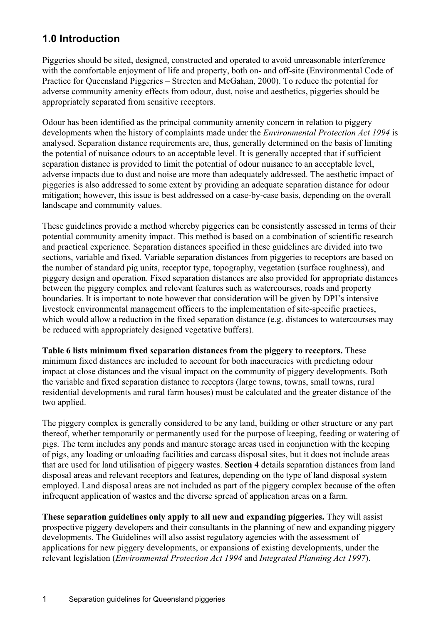# **1.0 Introduction**

Piggeries should be sited, designed, constructed and operated to avoid unreasonable interference with the comfortable enjoyment of life and property, both on- and off-site (Environmental Code of Practice for Queensland Piggeries – Streeten and McGahan, 2000). To reduce the potential for adverse community amenity effects from odour, dust, noise and aesthetics, piggeries should be appropriately separated from sensitive receptors.

Odour has been identified as the principal community amenity concern in relation to piggery developments when the history of complaints made under the *Environmental Protection Act 1994* is analysed. Separation distance requirements are, thus, generally determined on the basis of limiting the potential of nuisance odours to an acceptable level. It is generally accepted that if sufficient separation distance is provided to limit the potential of odour nuisance to an acceptable level, adverse impacts due to dust and noise are more than adequately addressed. The aesthetic impact of piggeries is also addressed to some extent by providing an adequate separation distance for odour mitigation; however, this issue is best addressed on a case-by-case basis, depending on the overall landscape and community values.

These guidelines provide a method whereby piggeries can be consistently assessed in terms of their potential community amenity impact. This method is based on a combination of scientific research and practical experience. Separation distances specified in these guidelines are divided into two sections, variable and fixed. Variable separation distances from piggeries to receptors are based on the number of standard pig units, receptor type, topography, vegetation (surface roughness), and piggery design and operation. Fixed separation distances are also provided for appropriate distances between the piggery complex and relevant features such as watercourses, roads and property boundaries. It is important to note however that consideration will be given by DPI's intensive livestock environmental management officers to the implementation of site-specific practices, which would allow a reduction in the fixed separation distance (e.g. distances to watercourses may be reduced with appropriately designed vegetative buffers).

**Table 6 lists minimum fixed separation distances from the piggery to receptors.** These minimum fixed distances are included to account for both inaccuracies with predicting odour impact at close distances and the visual impact on the community of piggery developments. Both the variable and fixed separation distance to receptors (large towns, towns, small towns, rural residential developments and rural farm houses) must be calculated and the greater distance of the two applied.

The piggery complex is generally considered to be any land, building or other structure or any part thereof, whether temporarily or permanently used for the purpose of keeping, feeding or watering of pigs. The term includes any ponds and manure storage areas used in conjunction with the keeping of pigs, any loading or unloading facilities and carcass disposal sites, but it does not include areas that are used for land utilisation of piggery wastes. **Section 4** details separation distances from land disposal areas and relevant receptors and features, depending on the type of land disposal system employed. Land disposal areas are not included as part of the piggery complex because of the often infrequent application of wastes and the diverse spread of application areas on a farm.

**These separation guidelines only apply to all new and expanding piggeries.** They will assist prospective piggery developers and their consultants in the planning of new and expanding piggery developments. The Guidelines will also assist regulatory agencies with the assessment of applications for new piggery developments, or expansions of existing developments, under the relevant legislation (*Environmental Protection Act 1994* and *Integrated Planning Act 1997*).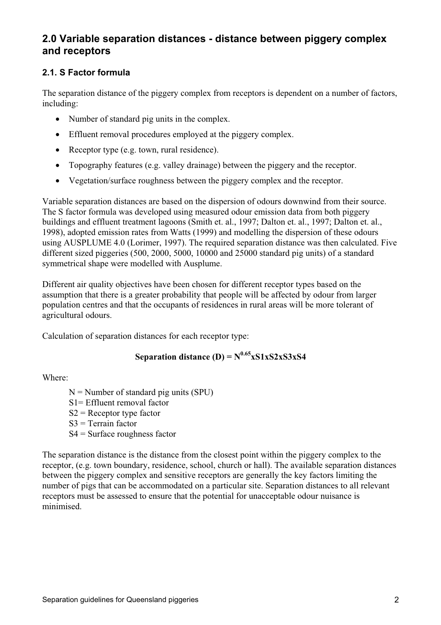# **2.0 Variable separation distances - distance between piggery complex and receptors**

## **2.1. S Factor formula**

The separation distance of the piggery complex from receptors is dependent on a number of factors, including:

- Number of standard pig units in the complex.
- $\bullet$  Effluent removal procedures employed at the piggery complex.
- Receptor type (e.g. town, rural residence).
- Topography features (e.g. valley drainage) between the piggery and the receptor.
- Vegetation/surface roughness between the piggery complex and the receptor.

Variable separation distances are based on the dispersion of odours downwind from their source. The S factor formula was developed using measured odour emission data from both piggery buildings and effluent treatment lagoons (Smith et. al., 1997; Dalton et. al., 1997; Dalton et. al., 1998), adopted emission rates from Watts (1999) and modelling the dispersion of these odours using AUSPLUME 4.0 (Lorimer, 1997). The required separation distance was then calculated. Five different sized piggeries (500, 2000, 5000, 10000 and 25000 standard pig units) of a standard symmetrical shape were modelled with Ausplume.

Different air quality objectives have been chosen for different receptor types based on the assumption that there is a greater probability that people will be affected by odour from larger population centres and that the occupants of residences in rural areas will be more tolerant of agricultural odours.

Calculation of separation distances for each receptor type:

# **Separation distance (D) =**  $N^{0.65}$ **xS1xS2xS3xS4**

Where:

 $N =$  Number of standard pig units (SPU)

- S1= Effluent removal factor
- $S2$  = Receptor type factor
- $S3$  = Terrain factor
- S4 = Surface roughness factor

The separation distance is the distance from the closest point within the piggery complex to the receptor, (e.g. town boundary, residence, school, church or hall). The available separation distances between the piggery complex and sensitive receptors are generally the key factors limiting the number of pigs that can be accommodated on a particular site. Separation distances to all relevant receptors must be assessed to ensure that the potential for unacceptable odour nuisance is minimised.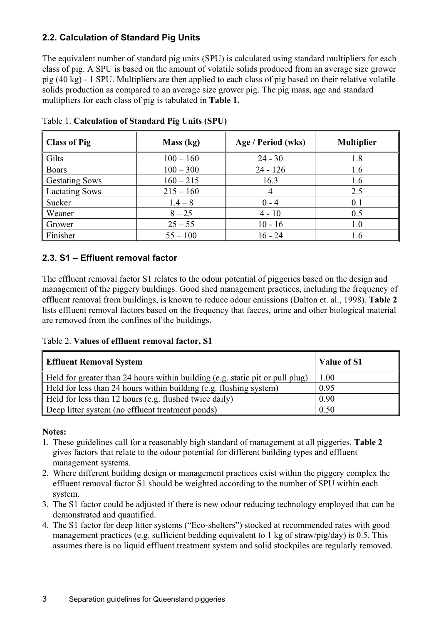### **2.2. Calculation of Standard Pig Units**

The equivalent number of standard pig units (SPU) is calculated using standard multipliers for each class of pig. A SPU is based on the amount of volatile solids produced from an average size grower pig (40 kg) - 1 SPU. Multipliers are then applied to each class of pig based on their relative volatile solids production as compared to an average size grower pig. The pig mass, age and standard multipliers for each class of pig is tabulated in **Table 1.**

| <b>Class of Pig</b>   | Mass (kg)   | Age / Period (wks) | <b>Multiplier</b> |  |
|-----------------------|-------------|--------------------|-------------------|--|
| Gilts                 | $100 - 160$ | $24 - 30$          | 1.8               |  |
| <b>Boars</b>          | $100 - 300$ | $24 - 126$         | 1.6               |  |
| <b>Gestating Sows</b> | $160 - 215$ | 16.3               | 1.6               |  |
| <b>Lactating Sows</b> | $215 - 160$ | 4                  | 2.5               |  |
| Sucker                | $1.4 - 8$   | $0 - 4$            | 0.1               |  |
| Weaner                | $8 - 25$    | $4 - 10$           | 0.5               |  |
| Grower                | $25 - 55$   | $10 - 16$          | 1.0               |  |
| Finisher              | $55 - 100$  | $16 - 24$          | 1.6               |  |

Table 1. **Calculation of Standard Pig Units (SPU)** 

#### **2.3. S1 – Effluent removal factor**

The effluent removal factor S1 relates to the odour potential of piggeries based on the design and management of the piggery buildings. Good shed management practices, including the frequency of effluent removal from buildings, is known to reduce odour emissions (Dalton et. al., 1998). **Table 2** lists effluent removal factors based on the frequency that faeces, urine and other biological material are removed from the confines of the buildings.

Table 2. **Values of effluent removal factor, S1** 

| <b>Effluent Removal System</b>                                                | Value of S1 |
|-------------------------------------------------------------------------------|-------------|
| Held for greater than 24 hours within building (e.g. static pit or pull plug) | 1.00        |
| Held for less than 24 hours within building (e.g. flushing system)            | 0.95        |
| Held for less than 12 hours (e.g. flushed twice daily)                        | 0.90        |
| Deep litter system (no effluent treatment ponds)                              | 0.50        |

#### **Notes:**

- 1. These guidelines call for a reasonably high standard of management at all piggeries. **Table 2** gives factors that relate to the odour potential for different building types and effluent management systems.
- 2. Where different building design or management practices exist within the piggery complex the effluent removal factor S1 should be weighted according to the number of SPU within each system.
- 3. The S1 factor could be adjusted if there is new odour reducing technology employed that can be demonstrated and quantified.
- 4. The S1 factor for deep litter systems ("Eco-shelters") stocked at recommended rates with good management practices (e.g. sufficient bedding equivalent to 1 kg of straw/pig/day) is 0.5. This assumes there is no liquid effluent treatment system and solid stockpiles are regularly removed.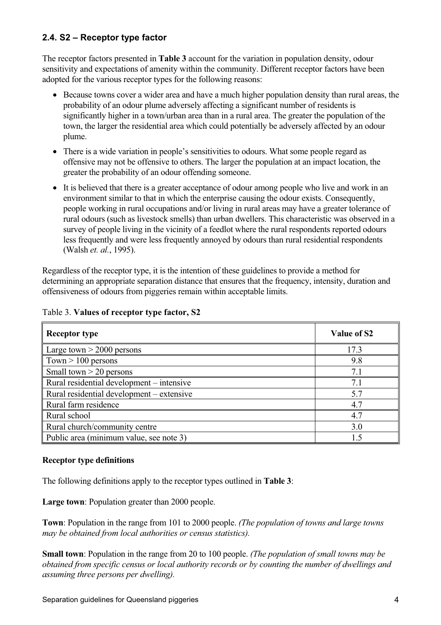#### **2.4. S2 – Receptor type factor**

The receptor factors presented in **Table 3** account for the variation in population density, odour sensitivity and expectations of amenity within the community. Different receptor factors have been adopted for the various receptor types for the following reasons:

- Because towns cover a wider area and have a much higher population density than rural areas, the probability of an odour plume adversely affecting a significant number of residents is significantly higher in a town/urban area than in a rural area. The greater the population of the town, the larger the residential area which could potentially be adversely affected by an odour plume.
- There is a wide variation in people's sensitivities to odours. What some people regard as offensive may not be offensive to others. The larger the population at an impact location, the greater the probability of an odour offending someone.
- It is believed that there is a greater acceptance of odour among people who live and work in an environment similar to that in which the enterprise causing the odour exists. Consequently, people working in rural occupations and/or living in rural areas may have a greater tolerance of rural odours (such as livestock smells) than urban dwellers. This characteristic was observed in a survey of people living in the vicinity of a feedlot where the rural respondents reported odours less frequently and were less frequently annoyed by odours than rural residential respondents (Walsh *et. al.*, 1995).

Regardless of the receptor type, it is the intention of these guidelines to provide a method for determining an appropriate separation distance that ensures that the frequency, intensity, duration and offensiveness of odours from piggeries remain within acceptable limits.

| <b>Receptor type</b>                      | Value of S2 |
|-------------------------------------------|-------------|
| Large town $>$ 2000 persons               | 17.3        |
| $\sqrt{7}$ Town $> 100$ persons           | 9.8         |
| Small town $>$ 20 persons                 | 7.1         |
| Rural residential development – intensive | 7.1         |
| Rural residential development – extensive | 5.7         |
| Rural farm residence                      | 4.7         |
| Rural school                              | 4.7         |
| Rural church/community centre             | 3.0         |
| Public area (minimum value, see note 3)   | 1.5         |

#### Table 3. **Values of receptor type factor, S2**

#### **Receptor type definitions**

The following definitions apply to the receptor types outlined in **Table 3**:

**Large town**: Population greater than 2000 people.

**Town**: Population in the range from 101 to 2000 people. *(The population of towns and large towns may be obtained from local authorities or census statistics).*

**Small town**: Population in the range from 20 to 100 people. *(The population of small towns may be obtained from specific census or local authority records or by counting the number of dwellings and assuming three persons per dwelling).*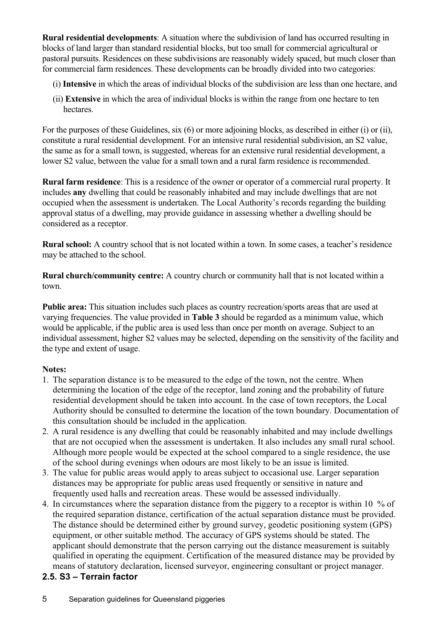**Rural residential developments**: A situation where the subdivision of land has occurred resulting in blocks of land larger than standard residential blocks, but too small for commercial agricultural or pastoral pursuits. Residences on these subdivisions are reasonably widely spaced, but much closer than for commercial farm residences. These developments can be broadly divided into two categories:

- (i) **Intensive** in which the areas of individual blocks of the subdivision are less than one hectare, and
- (ii) **Extensive** in which the area of individual blocks is within the range from one hectare to ten hectares.

For the purposes of these Guidelines, six (6) or more adjoining blocks, as described in either (i) or (ii), constitute a rural residential development. For an intensive rural residential subdivision, an S2 value, the same as for a small town, is suggested, whereas for an extensive rural residential development, a lower S2 value, between the value for a small town and a rural farm residence is recommended.

**Rural farm residence**: This is a residence of the owner or operator of a commercial rural property. It includes **any** dwelling that could be reasonably inhabited and may include dwellings that are not occupied when the assessment is undertaken. The Local Authority's records regarding the building approval status of a dwelling, may provide guidance in assessing whether a dwelling should be considered as a receptor.

**Rural school:** A country school that is not located within a town. In some cases, a teacher's residence may be attached to the school.

**Rural church/community centre:** A country church or community hall that is not located within a town.

**Public area:** This situation includes such places as country recreation/sports areas that are used at varying frequencies. The value provided in **Table 3** should be regarded as a minimum value, which would be applicable, if the public area is used less than once per month on average. Subject to an individual assessment, higher S2 values may be selected, depending on the sensitivity of the facility and the type and extent of usage.

#### **Notes:**

- 1. The separation distance is to be measured to the edge of the town, not the centre. When determining the location of the edge of the receptor, land zoning and the probability of future residential development should be taken into account. In the case of town receptors, the Local Authority should be consulted to determine the location of the town boundary. Documentation of this consultation should be included in the application.
- 2. A rural residence is any dwelling that could be reasonably inhabited and may include dwellings that are not occupied when the assessment is undertaken. It also includes any small rural school. Although more people would be expected at the school compared to a single residence, the use of the school during evenings when odours are most likely to be an issue is limited.
- 3. The value for public areas would apply to areas subject to occasional use. Larger separation distances may be appropriate for public areas used frequently or sensitive in nature and frequently used halls and recreation areas. These would be assessed individually.
- 4. In circumstances where the separation distance from the piggery to a receptor is within 10 % of the required separation distance, certification of the actual separation distance must be provided. The distance should be determined either by ground survey, geodetic positioning system (GPS) equipment, or other suitable method. The accuracy of GPS systems should be stated. The applicant should demonstrate that the person carrying out the distance measurement is suitably qualified in operating the equipment. Certification of the measured distance may be provided by means of statutory declaration, licensed surveyor, engineering consultant or project manager.

## **2.5. S3 – Terrain factor**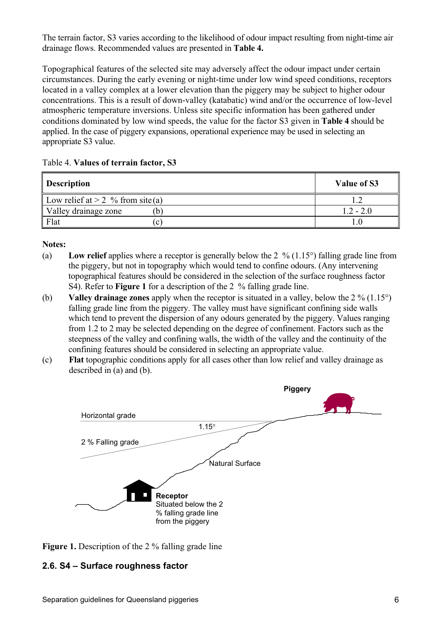The terrain factor, S3 varies according to the likelihood of odour impact resulting from night-time air drainage flows. Recommended values are presented in **Table 4.**

Topographical features of the selected site may adversely affect the odour impact under certain circumstances. During the early evening or night-time under low wind speed conditions, receptors located in a valley complex at a lower elevation than the piggery may be subject to higher odour concentrations. This is a result of down-valley (katabatic) wind and/or the occurrence of low-level atmospheric temperature inversions. Unless site specific information has been gathered under conditions dominated by low wind speeds, the value for the factor S3 given in **Table 4** should be applied. In the case of piggery expansions, operational experience may be used in selecting an appropriate S3 value.

|  | Table 4. Values of terrain factor, S3 |  |  |  |  |
|--|---------------------------------------|--|--|--|--|
|--|---------------------------------------|--|--|--|--|

| <b>Description</b>                        | Value of S3 |
|-------------------------------------------|-------------|
| Low relief at $> 2 \sqrt{6}$ from site(a) |             |
| Valley drainage zone<br>$\mathfrak b$     | $1.2 - 2.0$ |
| Flat<br>$\mathbf{C}$                      |             |

#### **Notes:**

- (a) **Low relief** applies where a receptor is generally below the  $2\%$  (1.15°) falling grade line from the piggery, but not in topography which would tend to confine odours. (Any intervening topographical features should be considered in the selection of the surface roughness factor S4). Refer to **Figure 1** for a description of the 2 % falling grade line.
- (b) **Valley drainage zones** apply when the receptor is situated in a valley, below the  $2\%$  (1.15<sup>o</sup>) falling grade line from the piggery. The valley must have significant confining side walls which tend to prevent the dispersion of any odours generated by the piggery. Values ranging from 1.2 to 2 may be selected depending on the degree of confinement. Factors such as the steepness of the valley and confining walls, the width of the valley and the continuity of the confining features should be considered in selecting an appropriate value.
- (c) **Flat** topographic conditions apply for all cases other than low relief and valley drainage as described in (a) and (b).



**Figure 1.** Description of the 2 % falling grade line

#### **2.6. S4 – Surface roughness factor**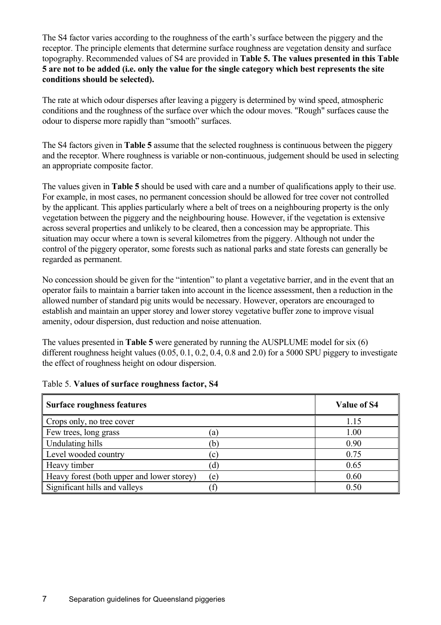The S4 factor varies according to the roughness of the earth's surface between the piggery and the receptor. The principle elements that determine surface roughness are vegetation density and surface topography. Recommended values of S4 are provided in **Table 5. The values presented in this Table 5 are not to be added (i.e. only the value for the single category which best represents the site conditions should be selected).**

The rate at which odour disperses after leaving a piggery is determined by wind speed, atmospheric conditions and the roughness of the surface over which the odour moves. "Rough" surfaces cause the odour to disperse more rapidly than "smooth" surfaces.

The S4 factors given in **Table 5** assume that the selected roughness is continuous between the piggery and the receptor. Where roughness is variable or non-continuous, judgement should be used in selecting an appropriate composite factor.

The values given in **Table 5** should be used with care and a number of qualifications apply to their use. For example, in most cases, no permanent concession should be allowed for tree cover not controlled by the applicant. This applies particularly where a belt of trees on a neighbouring property is the only vegetation between the piggery and the neighbouring house. However, if the vegetation is extensive across several properties and unlikely to be cleared, then a concession may be appropriate. This situation may occur where a town is several kilometres from the piggery. Although not under the control of the piggery operator, some forests such as national parks and state forests can generally be regarded as permanent.

No concession should be given for the "intention" to plant a vegetative barrier, and in the event that an operator fails to maintain a barrier taken into account in the licence assessment, then a reduction in the allowed number of standard pig units would be necessary. However, operators are encouraged to establish and maintain an upper storey and lower storey vegetative buffer zone to improve visual amenity, odour dispersion, dust reduction and noise attenuation.

The values presented in **Table 5** were generated by running the AUSPLUME model for six (6) different roughness height values (0.05, 0.1, 0.2, 0.4, 0.8 and 2.0) for a 5000 SPU piggery to investigate the effect of roughness height on odour dispersion.

| <b>Surface roughness features</b>          |           | Value of S4 |
|--------------------------------------------|-----------|-------------|
| Crops only, no tree cover                  |           | 1.15        |
| Few trees, long grass                      | (a)       | 1.00        |
| Undulating hills                           | (b)       | 0.90        |
| Level wooded country                       | $\rm (c)$ | 0.75        |
| Heavy timber                               | (d)       | 0.65        |
| Heavy forest (both upper and lower storey) | (e)       | 0.60        |
| Significant hills and valleys              |           | 0.50        |

#### Table 5. **Values of surface roughness factor, S4**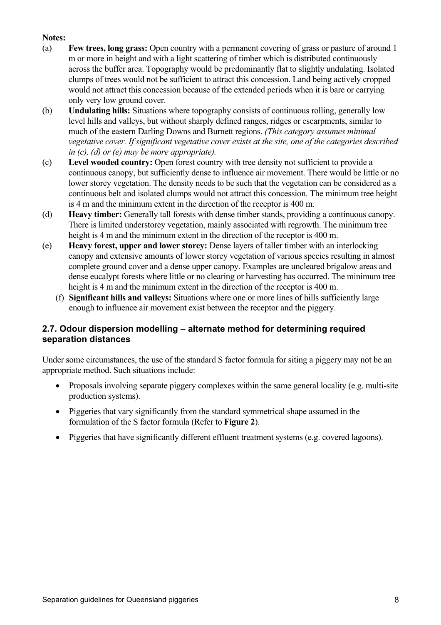#### **Notes:**

- (a) **Few trees, long grass:** Open country with a permanent covering of grass or pasture of around 1 m or more in height and with a light scattering of timber which is distributed continuously across the buffer area. Topography would be predominantly flat to slightly undulating. Isolated clumps of trees would not be sufficient to attract this concession. Land being actively cropped would not attract this concession because of the extended periods when it is bare or carrying only very low ground cover.
- (b) **Undulating hills:** Situations where topography consists of continuous rolling, generally low level hills and valleys, but without sharply defined ranges, ridges or escarpments, similar to much of the eastern Darling Downs and Burnett regions. *(This category assumes minimal vegetative cover. If significant vegetative cover exists at the site, one of the categories described in (c), (d) or (e) may be more appropriate).*
- (c) **Level wooded country:** Open forest country with tree density not sufficient to provide a continuous canopy, but sufficiently dense to influence air movement. There would be little or no lower storey vegetation. The density needs to be such that the vegetation can be considered as a continuous belt and isolated clumps would not attract this concession. The minimum tree height is 4 m and the minimum extent in the direction of the receptor is 400 m.
- (d) **Heavy timber:** Generally tall forests with dense timber stands, providing a continuous canopy. There is limited understorey vegetation, mainly associated with regrowth. The minimum tree height is 4 m and the minimum extent in the direction of the receptor is 400 m.
- (e) **Heavy forest, upper and lower storey:** Dense layers of taller timber with an interlocking canopy and extensive amounts of lower storey vegetation of various species resulting in almost complete ground cover and a dense upper canopy. Examples are uncleared brigalow areas and dense eucalypt forests where little or no clearing or harvesting has occurred. The minimum tree height is 4 m and the minimum extent in the direction of the receptor is 400 m.
	- (f) **Significant hills and valleys:** Situations where one or more lines of hills sufficiently large enough to influence air movement exist between the receptor and the piggery.

#### **2.7. Odour dispersion modelling – alternate method for determining required separation distances**

Under some circumstances, the use of the standard S factor formula for siting a piggery may not be an appropriate method. Such situations include:

- Proposals involving separate piggery complexes within the same general locality (e.g. multi-site production systems).
- Piggeries that vary significantly from the standard symmetrical shape assumed in the formulation of the S factor formula (Refer to **Figure 2**).
- Piggeries that have significantly different effluent treatment systems (e.g. covered lagoons).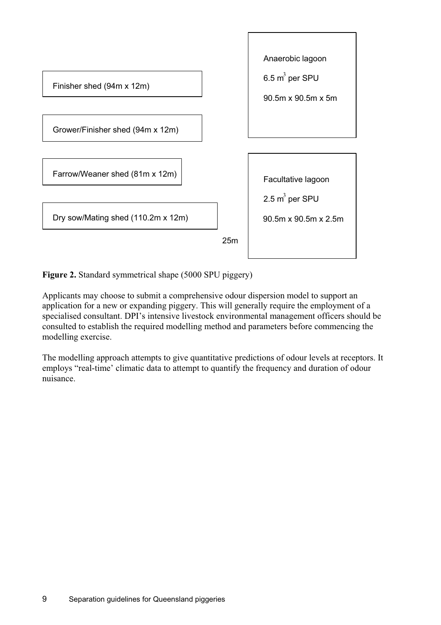

**Figure 2.** Standard symmetrical shape (5000 SPU piggery)

Applicants may choose to submit a comprehensive odour dispersion model to support an application for a new or expanding piggery. This will generally require the employment of a specialised consultant. DPI's intensive livestock environmental management officers should be consulted to establish the required modelling method and parameters before commencing the modelling exercise.

The modelling approach attempts to give quantitative predictions of odour levels at receptors. It employs "real-time' climatic data to attempt to quantify the frequency and duration of odour nuisance.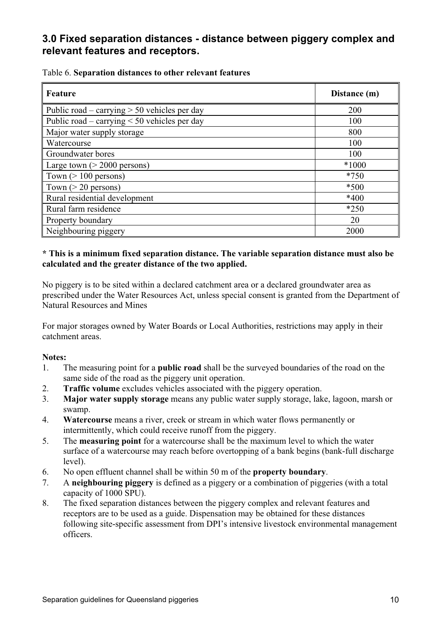# **3.0 Fixed separation distances - distance between piggery complex and relevant features and receptors.**

| Feature                                           | Distance (m) |
|---------------------------------------------------|--------------|
| Public road – carrying $> 50$ vehicles per day    | 200          |
| Public road – carrying $\leq 50$ vehicles per day | 100          |
| Major water supply storage                        | 800          |
| Watercourse                                       | 100          |
| Groundwater bores                                 | 100          |
| Large town $(> 2000$ persons)                     | $*1000$      |
| Town $(>100$ persons)                             | $*750$       |
| Town $(>20$ persons)                              | $*500$       |
| Rural residential development                     | $*400$       |
| Rural farm residence                              | $*250$       |
| Property boundary                                 | 20           |
| Neighbouring piggery                              | 2000         |

#### Table 6. **Separation distances to other relevant features**

#### **\* This is a minimum fixed separation distance. The variable separation distance must also be calculated and the greater distance of the two applied.**

No piggery is to be sited within a declared catchment area or a declared groundwater area as prescribed under the Water Resources Act, unless special consent is granted from the Department of Natural Resources and Mines

For major storages owned by Water Boards or Local Authorities, restrictions may apply in their catchment areas.

#### **Notes:**

- 1. The measuring point for a **public road** shall be the surveyed boundaries of the road on the same side of the road as the piggery unit operation.
- 2. **Traffic volume** excludes vehicles associated with the piggery operation.
- 3. **Major water supply storage** means any public water supply storage, lake, lagoon, marsh or swamp.
- 4. **Watercourse** means a river, creek or stream in which water flows permanently or intermittently, which could receive runoff from the piggery.
- 5. The **measuring point** for a watercourse shall be the maximum level to which the water surface of a watercourse may reach before overtopping of a bank begins (bank-full discharge level).
- 6. No open effluent channel shall be within 50 m of the **property boundary**.
- 7. A **neighbouring piggery** is defined as a piggery or a combination of piggeries (with a total capacity of 1000 SPU).
- 8. The fixed separation distances between the piggery complex and relevant features and receptors are to be used as a guide. Dispensation may be obtained for these distances following site-specific assessment from DPI's intensive livestock environmental management officers.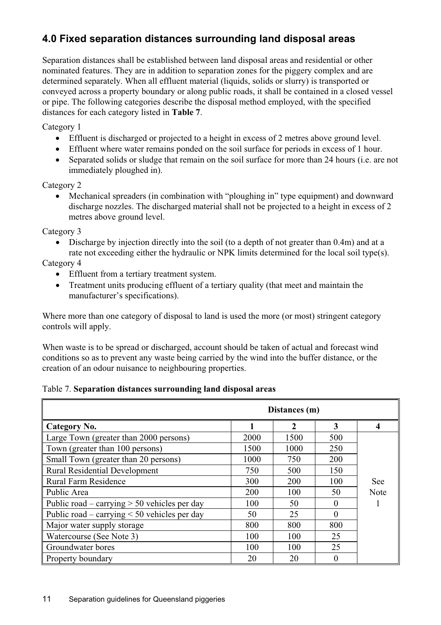# **4.0 Fixed separation distances surrounding land disposal areas**

Separation distances shall be established between land disposal areas and residential or other nominated features. They are in addition to separation zones for the piggery complex and are determined separately. When all effluent material (liquids, solids or slurry) is transported or conveyed across a property boundary or along public roads, it shall be contained in a closed vessel or pipe. The following categories describe the disposal method employed, with the specified distances for each category listed in **Table 7**.

Category 1

- Effluent is discharged or projected to a height in excess of 2 metres above ground level.
- Effluent where water remains ponded on the soil surface for periods in excess of 1 hour.
- Separated solids or sludge that remain on the soil surface for more than 24 hours (i.e. are not immediately ploughed in).

#### Category 2

• Mechanical spreaders (in combination with "ploughing in" type equipment) and downward discharge nozzles. The discharged material shall not be projected to a height in excess of 2 metres above ground level.

Category 3

 $\bullet$  Discharge by injection directly into the soil (to a depth of not greater than 0.4m) and at a rate not exceeding either the hydraulic or NPK limits determined for the local soil type(s).

Category 4

- Effluent from a tertiary treatment system.
- Treatment units producing effluent of a tertiary quality (that meet and maintain the manufacturer's specifications).

Where more than one category of disposal to land is used the more (or most) stringent category controls will apply.

When waste is to be spread or discharged, account should be taken of actual and forecast wind conditions so as to prevent any waste being carried by the wind into the buffer distance, or the creation of an odour nuisance to neighbouring properties.

#### Table 7. **Separation distances surrounding land disposal areas**

|                                                |      | Distances (m) |                   |                  |
|------------------------------------------------|------|---------------|-------------------|------------------|
| Category No.                                   |      | $\mathbf{2}$  | 3                 | $\boldsymbol{4}$ |
| Large Town (greater than 2000 persons)         | 2000 | 1500          | 500               |                  |
| Town (greater than 100 persons)                | 1500 | 1000          | 250               |                  |
| Small Town (greater than 20 persons)           | 1000 | 750           | 200               |                  |
| <b>Rural Residential Development</b>           | 750  | 500           | 150               |                  |
| <b>Rural Farm Residence</b>                    | 300  | 200           | 100               | See              |
| Public Area                                    | 200  | 100           | 50                | <b>Note</b>      |
| Public road – carrying $> 50$ vehicles per day | 100  | 50            |                   |                  |
| Public road – carrying $<$ 50 vehicles per day | 50   | 25            | $\Omega$          |                  |
| Major water supply storage                     | 800  | 800           | 800               |                  |
| Watercourse (See Note 3)                       | 100  | 100           | 25                |                  |
| Groundwater bores                              | 100  | 100           | 25                |                  |
| Property boundary                              | 20   | 20            | $\mathbf{\Omega}$ |                  |